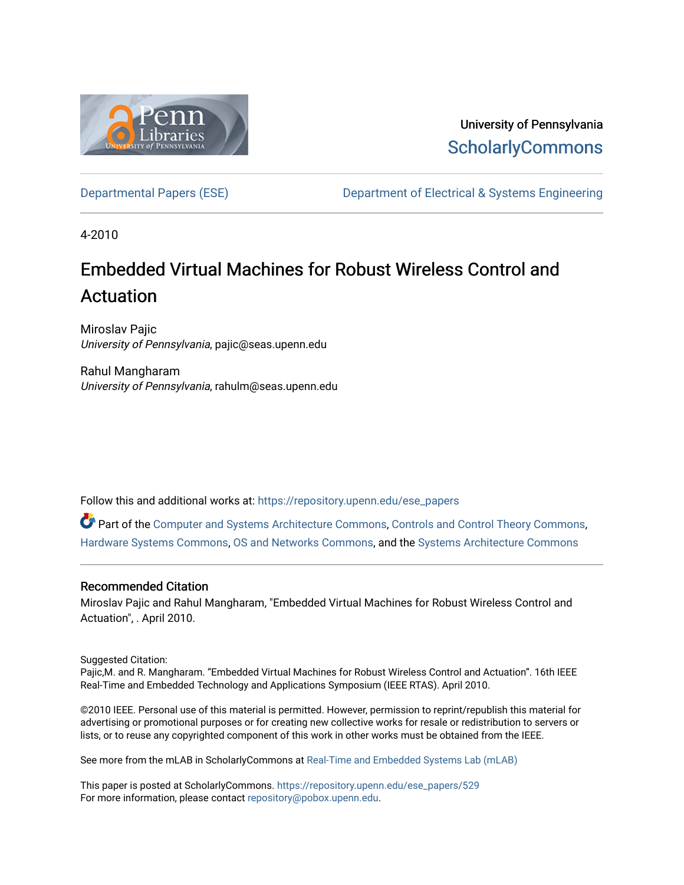

University of Pennsylvania **ScholarlyCommons** 

[Departmental Papers \(ESE\)](https://repository.upenn.edu/ese_papers) [Department of Electrical & Systems Engineering](https://repository.upenn.edu/ese) 

4-2010

# Embedded Virtual Machines for Robust Wireless Control and Actuation

Miroslav Pajic University of Pennsylvania, pajic@seas.upenn.edu

Rahul Mangharam University of Pennsylvania, rahulm@seas.upenn.edu

Follow this and additional works at: [https://repository.upenn.edu/ese\\_papers](https://repository.upenn.edu/ese_papers?utm_source=repository.upenn.edu%2Fese_papers%2F529&utm_medium=PDF&utm_campaign=PDFCoverPages)

Part of the [Computer and Systems Architecture Commons](http://network.bepress.com/hgg/discipline/259?utm_source=repository.upenn.edu%2Fese_papers%2F529&utm_medium=PDF&utm_campaign=PDFCoverPages), [Controls and Control Theory Commons](http://network.bepress.com/hgg/discipline/269?utm_source=repository.upenn.edu%2Fese_papers%2F529&utm_medium=PDF&utm_campaign=PDFCoverPages), [Hardware Systems Commons](http://network.bepress.com/hgg/discipline/263?utm_source=repository.upenn.edu%2Fese_papers%2F529&utm_medium=PDF&utm_campaign=PDFCoverPages), [OS and Networks Commons](http://network.bepress.com/hgg/discipline/149?utm_source=repository.upenn.edu%2Fese_papers%2F529&utm_medium=PDF&utm_campaign=PDFCoverPages), and the [Systems Architecture Commons](http://network.bepress.com/hgg/discipline/144?utm_source=repository.upenn.edu%2Fese_papers%2F529&utm_medium=PDF&utm_campaign=PDFCoverPages) 

## Recommended Citation

Miroslav Pajic and Rahul Mangharam, "Embedded Virtual Machines for Robust Wireless Control and Actuation", . April 2010.

Suggested Citation:

Pajic,M. and R. Mangharam. "Embedded Virtual Machines for Robust Wireless Control and Actuation". 16th IEEE Real-Time and Embedded Technology and Applications Symposium (IEEE RTAS). April 2010.

©2010 IEEE. Personal use of this material is permitted. However, permission to reprint/republish this material for advertising or promotional purposes or for creating new collective works for resale or redistribution to servers or lists, or to reuse any copyrighted component of this work in other works must be obtained from the IEEE.

See more from the mLAB in ScholarlyCommons at [Real-Time and Embedded Systems Lab \(mLAB\)](http://repository.upenn.edu/mlab_papers/)

This paper is posted at ScholarlyCommons. [https://repository.upenn.edu/ese\\_papers/529](https://repository.upenn.edu/ese_papers/529) For more information, please contact [repository@pobox.upenn.edu.](mailto:repository@pobox.upenn.edu)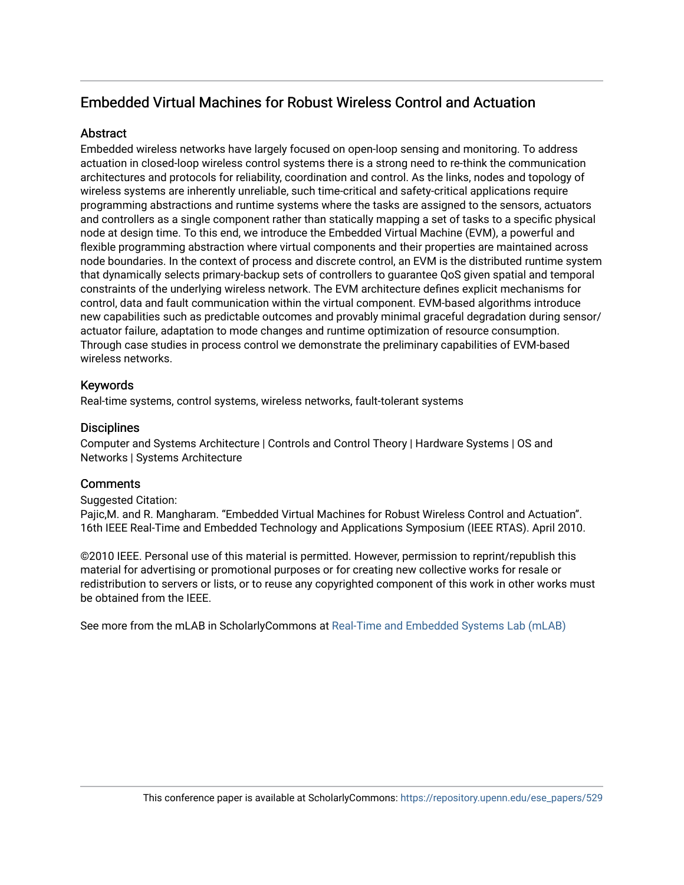## Embedded Virtual Machines for Robust Wireless Control and Actuation

## **Abstract**

Embedded wireless networks have largely focused on open-loop sensing and monitoring. To address actuation in closed-loop wireless control systems there is a strong need to re-think the communication architectures and protocols for reliability, coordination and control. As the links, nodes and topology of wireless systems are inherently unreliable, such time-critical and safety-critical applications require programming abstractions and runtime systems where the tasks are assigned to the sensors, actuators and controllers as a single component rather than statically mapping a set of tasks to a specific physical node at design time. To this end, we introduce the Embedded Virtual Machine (EVM), a powerful and flexible programming abstraction where virtual components and their properties are maintained across node boundaries. In the context of process and discrete control, an EVM is the distributed runtime system that dynamically selects primary-backup sets of controllers to guarantee QoS given spatial and temporal constraints of the underlying wireless network. The EVM architecture defines explicit mechanisms for control, data and fault communication within the virtual component. EVM-based algorithms introduce new capabilities such as predictable outcomes and provably minimal graceful degradation during sensor/ actuator failure, adaptation to mode changes and runtime optimization of resource consumption. Through case studies in process control we demonstrate the preliminary capabilities of EVM-based wireless networks.

## Keywords

Real-time systems, control systems, wireless networks, fault-tolerant systems

## **Disciplines**

Computer and Systems Architecture | Controls and Control Theory | Hardware Systems | OS and Networks | Systems Architecture

## **Comments**

Suggested Citation:

Pajic,M. and R. Mangharam. "Embedded Virtual Machines for Robust Wireless Control and Actuation". 16th IEEE Real-Time and Embedded Technology and Applications Symposium (IEEE RTAS). April 2010.

©2010 IEEE. Personal use of this material is permitted. However, permission to reprint/republish this material for advertising or promotional purposes or for creating new collective works for resale or redistribution to servers or lists, or to reuse any copyrighted component of this work in other works must be obtained from the IEEE.

See more from the mLAB in ScholarlyCommons at [Real-Time and Embedded Systems Lab \(mLAB\)](http://repository.upenn.edu/mlab_papers/)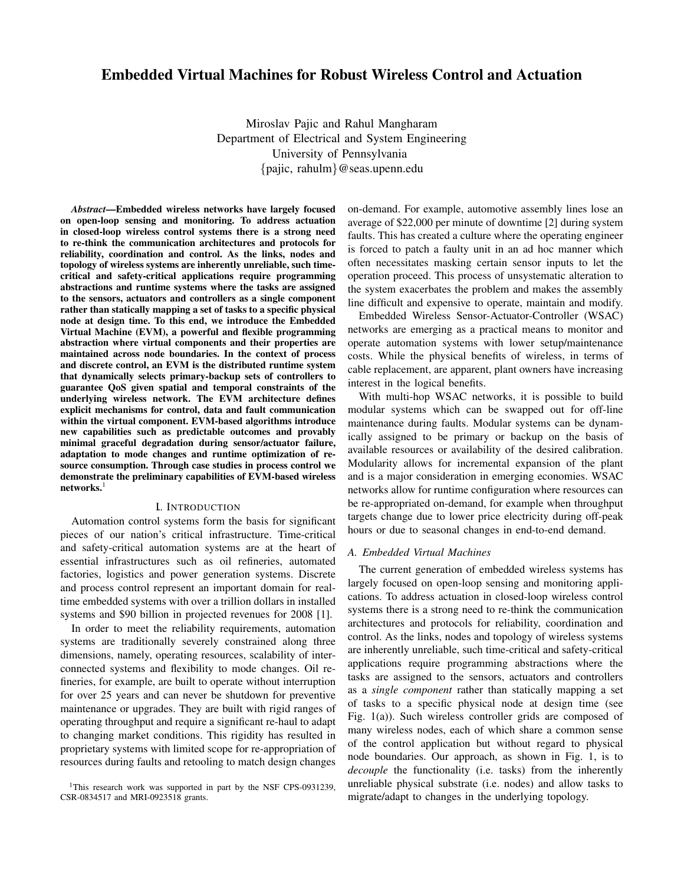### Embedded Virtual Machines for Robust Wireless Control and Actuation

Miroslav Pajic and Rahul Mangharam Department of Electrical and System Engineering University of Pennsylvania {pajic, rahulm}@seas.upenn.edu

*Abstract*—Embedded wireless networks have largely focused on open-loop sensing and monitoring. To address actuation in closed-loop wireless control systems there is a strong need to re-think the communication architectures and protocols for reliability, coordination and control. As the links, nodes and topology of wireless systems are inherently unreliable, such timecritical and safety-critical applications require programming abstractions and runtime systems where the tasks are assigned to the sensors, actuators and controllers as a single component rather than statically mapping a set of tasks to a specific physical node at design time. To this end, we introduce the Embedded Virtual Machine (EVM), a powerful and flexible programming abstraction where virtual components and their properties are maintained across node boundaries. In the context of process and discrete control, an EVM is the distributed runtime system that dynamically selects primary-backup sets of controllers to guarantee QoS given spatial and temporal constraints of the underlying wireless network. The EVM architecture defines explicit mechanisms for control, data and fault communication within the virtual component. EVM-based algorithms introduce new capabilities such as predictable outcomes and provably minimal graceful degradation during sensor/actuator failure, adaptation to mode changes and runtime optimization of resource consumption. Through case studies in process control we demonstrate the preliminary capabilities of EVM-based wireless  $networks.<sup>1</sup>$ 

#### I.. INTRODUCTION

Automation control systems form the basis for significant pieces of our nation's critical infrastructure. Time-critical and safety-critical automation systems are at the heart of essential infrastructures such as oil refineries, automated factories, logistics and power generation systems. Discrete and process control represent an important domain for realtime embedded systems with over a trillion dollars in installed systems and \$90 billion in projected revenues for 2008 [1].

In order to meet the reliability requirements, automation systems are traditionally severely constrained along three dimensions, namely, operating resources, scalability of interconnected systems and flexibility to mode changes. Oil refineries, for example, are built to operate without interruption for over 25 years and can never be shutdown for preventive maintenance or upgrades. They are built with rigid ranges of operating throughput and require a significant re-haul to adapt to changing market conditions. This rigidity has resulted in proprietary systems with limited scope for re-appropriation of resources during faults and retooling to match design changes

on-demand. For example, automotive assembly lines lose an average of \$22,000 per minute of downtime [2] during system faults. This has created a culture where the operating engineer is forced to patch a faulty unit in an ad hoc manner which often necessitates masking certain sensor inputs to let the operation proceed. This process of unsystematic alteration to the system exacerbates the problem and makes the assembly line difficult and expensive to operate, maintain and modify.

Embedded Wireless Sensor-Actuator-Controller (WSAC) networks are emerging as a practical means to monitor and operate automation systems with lower setup/maintenance costs. While the physical benefits of wireless, in terms of cable replacement, are apparent, plant owners have increasing interest in the logical benefits.

With multi-hop WSAC networks, it is possible to build modular systems which can be swapped out for off-line maintenance during faults. Modular systems can be dynamically assigned to be primary or backup on the basis of available resources or availability of the desired calibration. Modularity allows for incremental expansion of the plant and is a major consideration in emerging economies. WSAC networks allow for runtime configuration where resources can be re-appropriated on-demand, for example when throughput targets change due to lower price electricity during off-peak hours or due to seasonal changes in end-to-end demand.

#### *A.. Embedded Virtual Machines*

The current generation of embedded wireless systems has largely focused on open-loop sensing and monitoring applications. To address actuation in closed-loop wireless control systems there is a strong need to re-think the communication architectures and protocols for reliability, coordination and control. As the links, nodes and topology of wireless systems are inherently unreliable, such time-critical and safety-critical applications require programming abstractions where the tasks are assigned to the sensors, actuators and controllers as a *single component* rather than statically mapping a set of tasks to a specific physical node at design time (see Fig. 1(a)). Such wireless controller grids are composed of many wireless nodes, each of which share a common sense of the control application but without regard to physical node boundaries. Our approach, as shown in Fig. 1, is to *decouple* the functionality (i.e. tasks) from the inherently unreliable physical substrate (i.e. nodes) and allow tasks to migrate/adapt to changes in the underlying topology.

<sup>&</sup>lt;sup>1</sup>This research work was supported in part by the NSF CPS-0931239, CSR-0834517 and MRI-0923518 grants.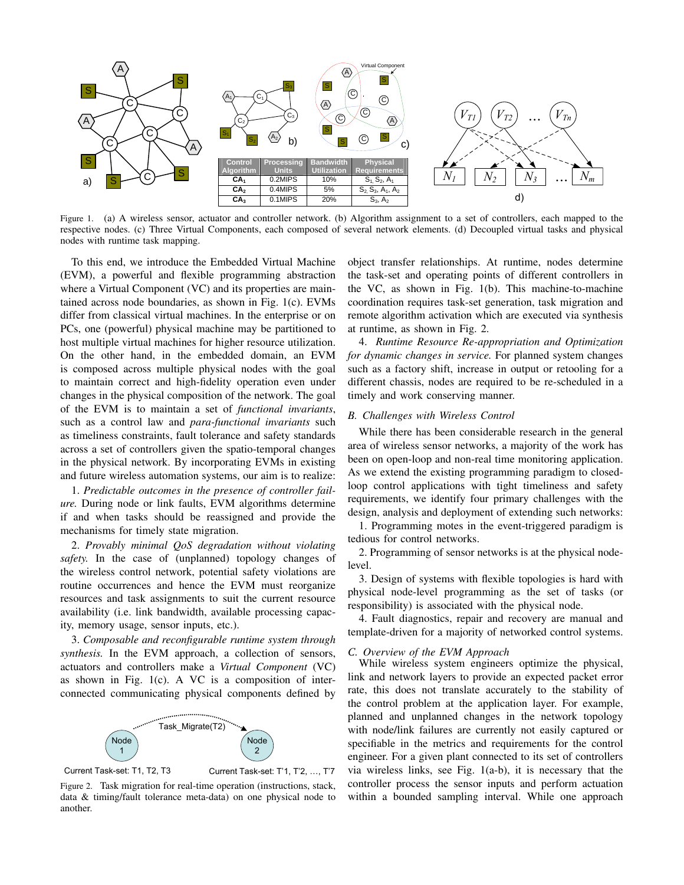

Figure 1. (a) A wireless sensor, actuator and controller network. (b) Algorithm assignment to a set of controllers, each mapped to the respective nodes. (c) Three Virtual Components, each composed of several network elements. (d) Decoupled virtual tasks and physical nodes with runtime task mapping.

To this end, we introduce the Embedded Virtual Machine (EVM), a powerful and flexible programming abstraction where a Virtual Component (VC) and its properties are maintained across node boundaries, as shown in Fig. 1(c). EVMs differ from classical virtual machines. In the enterprise or on PCs, one (powerful) physical machine may be partitioned to host multiple virtual machines for higher resource utilization. On the other hand, in the embedded domain, an EVM is composed across multiple physical nodes with the goal to maintain correct and high-fidelity operation even under changes in the physical composition of the network. The goal of the EVM is to maintain a set of *functional invariants*, such as a control law and *para-functional invariants* such as timeliness constraints, fault tolerance and safety standards across a set of controllers given the spatio-temporal changes in the physical network. By incorporating EVMs in existing and future wireless automation systems, our aim is to realize:

1. *Predictable outcomes in the presence of controller failure.* During node or link faults, EVM algorithms determine if and when tasks should be reassigned and provide the mechanisms for timely state migration.

2. *Provably minimal QoS degradation without violating safety.* In the case of (unplanned) topology changes of the wireless control network, potential safety violations are routine occurrences and hence the EVM must reorganize resources and task assignments to suit the current resources and task assignments to suit the current resource availability (i.e. link bandwidth, available processing capacity, memory usage, sensor inputs, etc.).

3. Composable and reconfigurable runtime system through synthesis. In the EVM approach, a collection of sensors, actuators and controllers make a Virtual Component (VC) as shown in Fig. 1(c). A VC is a composition of inter- $\frac{dS}{dt}$  connected communicating physical components defined by



Current Task-set: T1, T2, T3 Current Task-set: T'1, T'2, …, T'7

Figure 2. Task migration for real-time operation (instructions, stack, data & timing/fault tolerance meta-data) on one physical node to another.

object transfer relationships. At runtime, nodes determine the task-set and operating points of different controllers in the VC, as shown in Fig. 1(b). This machine-to-machine coordination requires task-set generation, task migration and remote algorithm activation which are executed via synthesis at runtime, as shown in Fig. 2.

4. *Runtime Resource Re-appropriation and Optimization for dynamic changes in service.* For planned system changes such as a factory shift, increase in output or retooling for a different chassis, nodes are required to be re-scheduled in a timely and work conserving manner.

#### *B.. Challenges with Wireless Control*

While there has been considerable research in the general area of wireless sensor networks, a majority of the work has been on open-loop and non-real time monitoring application. As we extend the existing programming paradigm to closedloop control applications with tight timeliness and safety requirements, we identify four primary challenges with the design, analysis and deployment of extending such networks:

1. Programming motes in the event-triggered paradigm is tedious for control networks.

2. Programming of sensor networks is at the physical nodelevel.

3. Design of systems with flexible topologies is hard with physical node-level programming as the set of tasks (or responsibility) is associated with the physical node.

4. Fault diagnostics, repair and recovery are manual and template-driven for a majority of networked control systems.

#### *C.. Overview of the EVM Approach*

While wireless system engineers optimize the physical, link and network layers to provide an expected packet error rate, this does not translate accurately to the stability of the control problem at the application layer. For example, planned and unplanned changes in the network topology with node/link failures are currently not easily captured or specifiable in the metrics and requirements for the control engineer. For a given plant connected to its set of controllers via wireless links, see Fig. 1(a-b), it is necessary that the controller process the sensor inputs and perform actuation within a bounded sampling interval. While one approach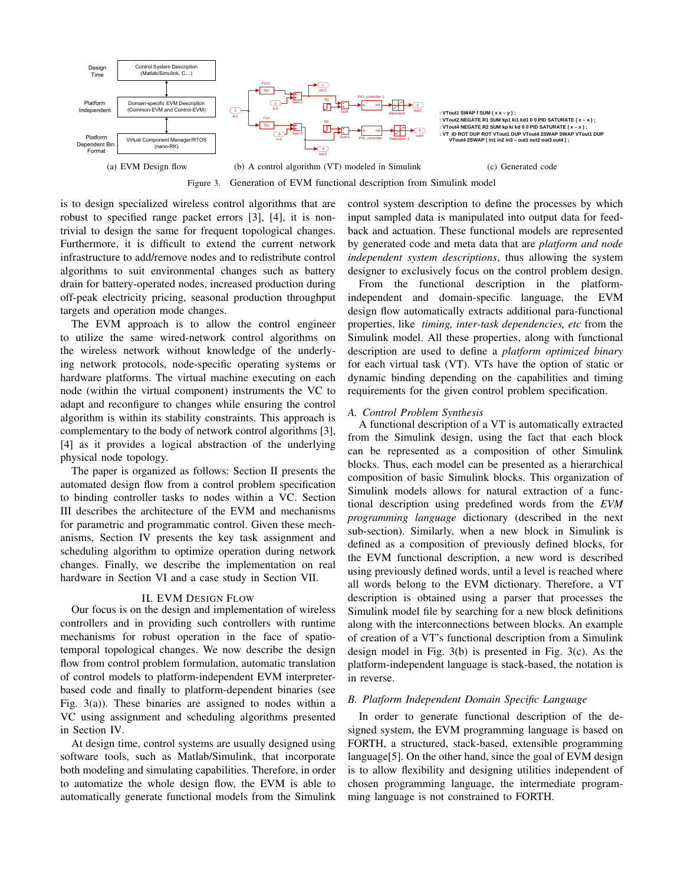

**: VTout1 SWAP f SUM ( x x – y ) ; : VTout2 NEGATE R1 SUM kp1 ki1 kd1 0 0 PID SATURATE ( x – x ) ; : VTout4 NEGATE R2 SUM kp ki kd 0 0 PID SATURATE ( x – x ) ; : VT\_ID ROT DUP ROT VTout1 DUP VTout4 2SWAP SWAP VTout1 DUP VTout4 2SWAP ( in1 in2 in3 – out1 out2 out3 out4 ) ;**

(c) Generated code

Figure 3. Generation of EVM functional description from Simulink model

is to design specialized wireless control algorithms that are robust to specified range packet errors [3], [4], it is nontrivial to design the same for frequent topological changes. Furthermore, it is difficult to extend the current network infrastructure to add/remove nodes and to redistribute control algorithms to suit environmental changes such as battery drain for battery-operated nodes, increased production during off-peak electricity pricing, seasonal production throughput targets and operation mode changes.

The EVM approach is to allow the control engineer to utilize the same wired-network control algorithms on the wireless network without knowledge of the underlying network protocols, node-specific operating systems or hardware platforms. The virtual machine executing on each node (within the virtual component) instruments the VC to adapt and reconfigure to changes while ensuring the control algorithm is within its stability constraints. This approach is complementary to the body of network control algorithms [3], [4] as it provides a logical abstraction of the underlying physical node topology.

The paper is organized as follows: Section II presents the automated design flow from a control problem specification to binding controller tasks to nodes within a VC. Section III describes the architecture of the EVM and mechanisms for parametric and programmatic control. Given these mechanisms, Section IV presents the key task assignment and scheduling algorithm to optimize operation during network changes. Finally, we describe the implementation on real hardware in Section VI and a case study in Section VII.

#### II. EVM DESIGN FLOW

Our focus is on the design and implementation of wireless controllers and in providing such controllers with runtime mechanisms for robust operation in the face of spatiotemporal topological changes. We now describe the design flow from control problem formulation, automatic translation of control models to platform-independent EVM interpreterbased code and finally to platform-dependent binaries (see Fig.  $3(a)$ ). These binaries are assigned to nodes within a VC using assignment and scheduling algorithms presented in Section IV.

At design time, control systems are usually designed using software tools, such as Matlab/Simulink, that incorporate both modeling and simulating capabilities. Therefore, in order to automatize the whole design flow, the EVM is able to automatically generate functional models from the Simulink control system description to define the processes by which input sampled data is manipulated into output data for feedback and actuation. These functional models are represented by generated code and meta data that are *platform and node independent system descriptions*, thus allowing the system designer to exclusively focus on the control problem design.

From the functional description in the platformindependent and domain-specific language, the EVM design flow automatically extracts additional para-functional properties, like *timing, inter-task dependencies, etc* from the Simulink model. All these properties, along with functional description are used to define a *platform optimized binary* for each virtual task (VT). VTs have the option of static or dynamic binding depending on the capabilities and timing requirements for the given control problem specification.

#### *A.. Control Problem Synthesis*

A functional description of a VT is automatically extracted from the Simulink design, using the fact that each block can be represented as a composition of other Simulink blocks. Thus, each model can be presented as a hierarchical composition of basic Simulink blocks. This organization of Simulink models allows for natural extraction of a functional description using predefined words from the *EVM programming language* dictionary (described in the next sub-section). Similarly, when a new block in Simulink is defined as a composition of previously defined blocks, for the EVM functional description, a new word is described using previously defined words, until a level is reached where all words belong to the EVM dictionary. Therefore, a VT description is obtained using a parser that processes the Simulink model file by searching for a new block definitions along with the interconnections between blocks. An example of creation of a VT's functional description from a Simulink design model in Fig. 3(b) is presented in Fig. 3(c). As the platform-independent language is stack-based, the notation is in reverse.

#### *B.. Platform Independent Domain Specific Language*

In order to generate functional description of the designed system, the EVM programming language is based on FORTH, a structured, stack-based, extensible programming language[5]. On the other hand, since the goal of EVM design is to allow flexibility and designing utilities independent of chosen programming language, the intermediate programming language is not constrained to FORTH.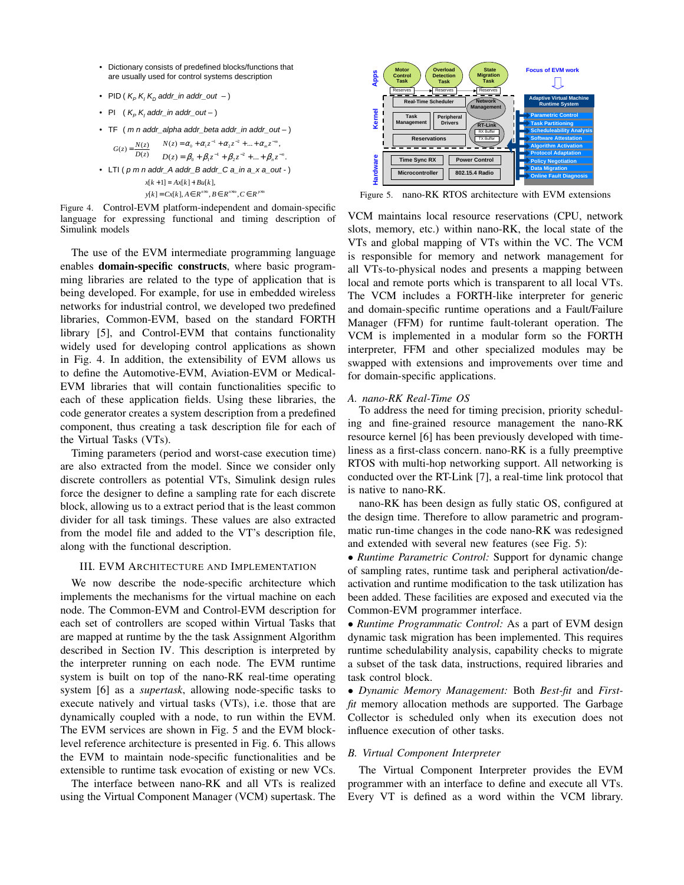- Dictionary consists of predefined blocks/functions that are usually used for control systems description
- PID ( $K_p K_l K_p$  addr\_in addr\_out )
- PI  $(K_p K_i$  addr\_in addr\_out )
- TF ( m n addr\_alpha addr\_beta addr\_in addr\_out )

$$
G(z) = \frac{N(z)}{N(z)} \qquad N(z) = \alpha_0 + \alpha_1 z^{-1} + \alpha_2 z^{-2} + \dots + \alpha_m z^{-m},
$$

$$
G(z) = \frac{P(z)}{D(z)} \qquad D(z) = \beta_0 + \beta_1 z^{-1} + \beta_2 z^{-2} + ... + \beta_n z^{-n}.
$$

*n*

• LTI (p m n addr\_A addr\_B addr\_C a\_in a\_x a\_out -)  $x[k+1] = Ax[k] + Bu[k],$ 

 $y[k] = Cx[k], A \in R^{n \times n}, B \in R^{n \times m}, C \in R^{p \times n}$ 

Figure 4. Control-EVM platform-independent and domain-specific language for expressing functional and timing description of Simulink models

The use of the EVM intermediate programming language enables domain-specific constructs, where basic programming libraries are related to the type of application that is being developed. For example, for use in embedded wireless networks for industrial control, we developed two predefined libraries, Common-EVM, based on the standard FORTH library [5], and Control-EVM that contains functionality widely used for developing control applications as shown in Fig. 4. In addition, the extensibility of EVM allows us to define the Automotive-EVM, Aviation-EVM or Medical-EVM libraries that will contain functionalities specific to each of these application fields. Using these libraries, the code generator creates a system description from a predefined component, thus creating a task description file for each of the Virtual Tasks (VTs).

Timing parameters (period and worst-case execution time) are also extracted from the model. Since we consider only discrete controllers as potential VTs, Simulink design rules force the designer to define a sampling rate for each discrete block, allowing us to a extract period that is the least common divider for all task timings. These values are also extracted from the model file and added to the VT's description file, along with the functional description.

#### III.. EVM ARCHITECTURE AND IMPLEMENTATION

We now describe the node-specific architecture which implements the mechanisms for the virtual machine on each node. The Common-EVM and Control-EVM description for each set of controllers are scoped within Virtual Tasks that are mapped at runtime by the the task Assignment Algorithm described in Section IV. This description is interpreted by the interpreter running on each node. The EVM runtime system is built on top of the nano-RK real-time operating system [6] as a *supertask*, allowing node-specific tasks to execute natively and virtual tasks (VTs), i.e. those that are dynamically coupled with a node, to run within the EVM. The EVM services are shown in Fig. 5 and the EVM blocklevel reference architecture is presented in Fig. 6. This allows the EVM to maintain node-specific functionalities and be extensible to runtime task evocation of existing or new VCs.

The interface between nano-RK and all VTs is realized using the Virtual Component Manager (VCM) supertask. The



Figure 5. nano-RK RTOS architecture with EVM extensions

VCM maintains local resource reservations (CPU, network slots, memory, etc.) within nano-RK, the local state of the VTs and global mapping of VTs within the VC. The VCM is responsible for memory and network management for all VTs-to-physical nodes and presents a mapping between local and remote ports which is transparent to all local VTs. The VCM includes a FORTH-like interpreter for generic and domain-specific runtime operations and a Fault/Failure Manager (FFM) for runtime fault-tolerant operation. The VCM is implemented in a modular form so the FORTH interpreter, FFM and other specialized modules may be swapped with extensions and improvements over time and for domain-specific applications.

#### *A.. nano-RK Real-Time OS*

To address the need for timing precision, priority scheduling and fine-grained resource management the nano-RK resource kernel [6] has been previously developed with timeliness as a first-class concern. nano-RK is a fully preemptive RTOS with multi-hop networking support. All networking is conducted over the RT-Link [7], a real-time link protocol that is native to nano-RK.

nano-RK has been design as fully static OS, configured at the design time. Therefore to allow parametric and programmatic run-time changes in the code nano-RK was redesigned and extended with several new features (see Fig. 5):

• *Runtime Parametric Control:* Support for dynamic change of sampling rates, runtime task and peripheral activation/deactivation and runtime modification to the task utilization has been added. These facilities are exposed and executed via the Common-EVM programmer interface.

• *Runtime Programmatic Control:* As a part of EVM design dynamic task migration has been implemented. This requires runtime schedulability analysis, capability checks to migrate a subset of the task data, instructions, required libraries and task control block.

• *Dynamic Memory Management:* Both *Best-fit* and *Firstfit* memory allocation methods are supported. The Garbage Collector is scheduled only when its execution does not influence execution of other tasks.

#### *B.. Virtual Component Interpreter*

The Virtual Component Interpreter provides the EVM programmer with an interface to define and execute all VTs. Every VT is defined as a word within the VCM library.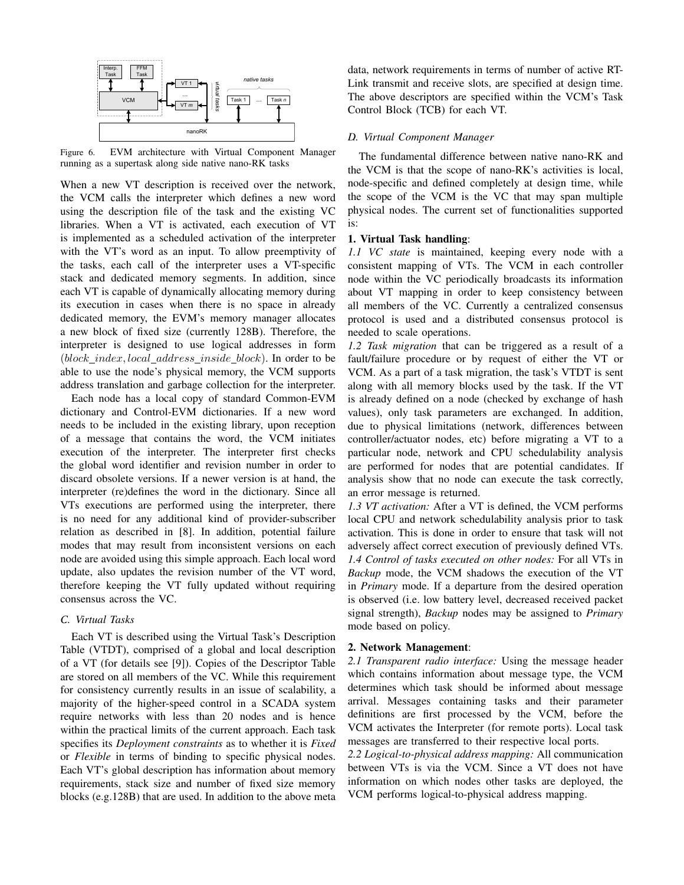

Figure 6. EVM architecture with Virtual Component Manager running as a supertask along side native nano-RK tasks

When a new VT description is received over the network, the VCM calls the interpreter which defines a new word using the description file of the task and the existing VC libraries. When a VT is activated, each execution of VT is implemented as a scheduled activation of the interpreter with the VT's word as an input. To allow preemptivity of the tasks, each call of the interpreter uses a VT-specific stack and dedicated memory segments. In addition, since each VT is capable of dynamically allocating memory during its execution in cases when there is no space in already dedicated memory, the EVM's memory manager allocates a new block of fixed size (currently 128B). Therefore, the interpreter is designed to use logical addresses in form (block index, local address inside block). In order to be able to use the node's physical memory, the VCM supports address translation and garbage collection for the interpreter.

Each node has a local copy of standard Common-EVM dictionary and Control-EVM dictionaries. If a new word needs to be included in the existing library, upon reception of a message that contains the word, the VCM initiates execution of the interpreter. The interpreter first checks the global word identifier and revision number in order to discard obsolete versions. If a newer version is at hand, the interpreter (re)defines the word in the dictionary. Since all VTs executions are performed using the interpreter, there is no need for any additional kind of provider-subscriber relation as described in [8]. In addition, potential failure modes that may result from inconsistent versions on each node are avoided using this simple approach. Each local word update, also updates the revision number of the VT word, therefore keeping the VT fully updated without requiring consensus across the VC.

#### *C.. Virtual Tasks*

Each VT is described using the Virtual Task's Description Table (VTDT), comprised of a global and local description of a VT (for details see [9]). Copies of the Descriptor Table are stored on all members of the VC. While this requirement for consistency currently results in an issue of scalability, a majority of the higher-speed control in a SCADA system require networks with less than 20 nodes and is hence within the practical limits of the current approach. Each task specifies its *Deployment constraints* as to whether it is *Fixed* or *Flexible* in terms of binding to specific physical nodes. Each VT's global description has information about memory requirements, stack size and number of fixed size memory blocks (e.g.128B) that are used. In addition to the above meta

data, network requirements in terms of number of active RT-Link transmit and receive slots, are specified at design time. The above descriptors are specified within the VCM's Task Control Block (TCB) for each VT.

#### *D.. Virtual Component Manager*

The fundamental difference between native nano-RK and the VCM is that the scope of nano-RK's activities is local, node-specific and defined completely at design time, while the scope of the VCM is the VC that may span multiple physical nodes. The current set of functionalities supported is:

#### 1. Virtual Task handling:

*1.1 VC state* is maintained, keeping every node with a consistent mapping of VTs. The VCM in each controller node within the VC periodically broadcasts its information about VT mapping in order to keep consistency between all members of the VC. Currently a centralized consensus protocol is used and a distributed consensus protocol is needed to scale operations.

*1.2 Task migration* that can be triggered as a result of a fault/failure procedure or by request of either the VT or VCM. As a part of a task migration, the task's VTDT is sent along with all memory blocks used by the task. If the VT is already defined on a node (checked by exchange of hash values), only task parameters are exchanged. In addition, due to physical limitations (network, differences between controller/actuator nodes, etc) before migrating a VT to a particular node, network and CPU schedulability analysis are performed for nodes that are potential candidates. If analysis show that no node can execute the task correctly, an error message is returned.

*1.3 VT activation:* After a VT is defined, the VCM performs local CPU and network schedulability analysis prior to task activation. This is done in order to ensure that task will not adversely affect correct execution of previously defined VTs. *1.4 Control of tasks executed on other nodes:* For all VTs in *Backup* mode, the VCM shadows the execution of the VT in *Primary* mode. If a departure from the desired operation is observed (i.e. low battery level, decreased received packet signal strength), *Backup* nodes may be assigned to *Primary* mode based on policy.

#### 2. Network Management:

*2.1 Transparent radio interface:* Using the message header which contains information about message type, the VCM determines which task should be informed about message arrival. Messages containing tasks and their parameter definitions are first processed by the VCM, before the VCM activates the Interpreter (for remote ports). Local task messages are transferred to their respective local ports.

*2.2 Logical-to-physical address mapping:* All communication between VTs is via the VCM. Since a VT does not have information on which nodes other tasks are deployed, the VCM performs logical-to-physical address mapping.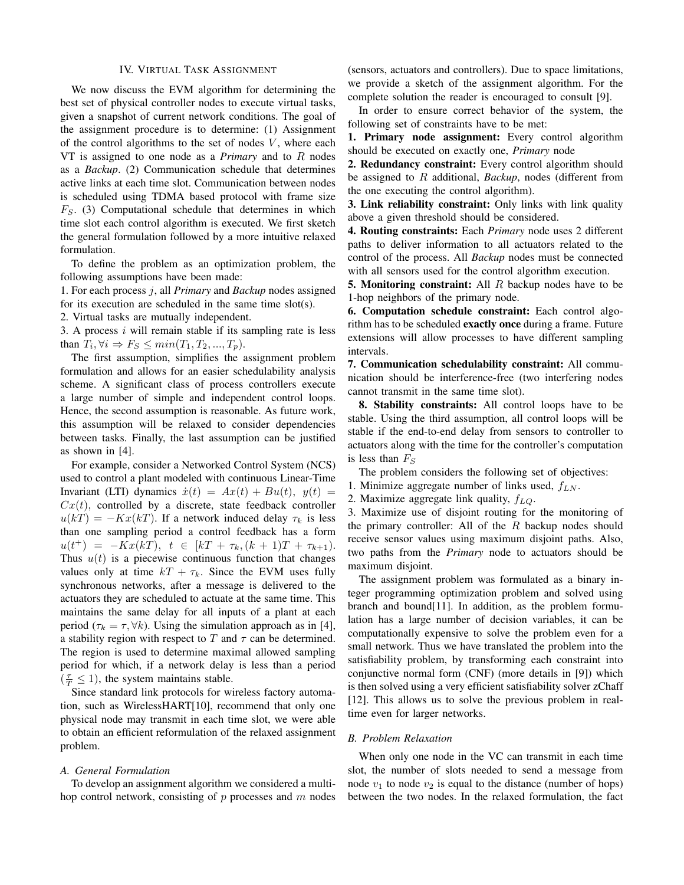#### IV.. VIRTUAL TASK ASSIGNMENT

We now discuss the EVM algorithm for determining the best set of physical controller nodes to execute virtual tasks, given a snapshot of current network conditions. The goal of the assignment procedure is to determine: (1) Assignment of the control algorithms to the set of nodes  $V$ , where each VT is assigned to one node as a *Primary* and to R nodes as a *Backup*. (2) Communication schedule that determines active links at each time slot. Communication between nodes is scheduled using TDMA based protocol with frame size  $F<sub>S</sub>$ . (3) Computational schedule that determines in which time slot each control algorithm is executed. We first sketch the general formulation followed by a more intuitive relaxed formulation.

To define the problem as an optimization problem, the following assumptions have been made:

1. For each process j, all *Primary* and *Backup* nodes assigned for its execution are scheduled in the same time slot(s).

2. Virtual tasks are mutually independent.

3. A process  $i$  will remain stable if its sampling rate is less than  $T_i$ ,  $\forall i \Rightarrow F_S \leq min(T_1, T_2, ..., T_p)$ .

The first assumption, simplifies the assignment problem formulation and allows for an easier schedulability analysis scheme. A significant class of process controllers execute a large number of simple and independent control loops. Hence, the second assumption is reasonable. As future work, this assumption will be relaxed to consider dependencies between tasks. Finally, the last assumption can be justified as shown in [4].

For example, consider a Networked Control System (NCS) used to control a plant modeled with continuous Linear-Time Invariant (LTI) dynamics  $\dot{x}(t) = Ax(t) + Bu(t), y(t) =$  $Cx(t)$ , controlled by a discrete, state feedback controller  $u(kT) = -Kx(kT)$ . If a network induced delay  $\tau_k$  is less than one sampling period a control feedback has a form  $u(t^+) = -Kx(kT), t \in [kT + \tau_k, (k+1)T + \tau_{k+1}).$ Thus  $u(t)$  is a piecewise continuous function that changes values only at time  $kT + \tau_k$ . Since the EVM uses fully synchronous networks, after a message is delivered to the actuators they are scheduled to actuate at the same time. This maintains the same delay for all inputs of a plant at each period ( $\tau_k = \tau$ ,  $\forall k$ ). Using the simulation approach as in [4], a stability region with respect to  $T$  and  $\tau$  can be determined. The region is used to determine maximal allowed sampling period for which, if a network delay is less than a period  $(\frac{\tau}{T} \leq 1)$ , the system maintains stable.

Since standard link protocols for wireless factory automation, such as WirelessHART[10], recommend that only one physical node may transmit in each time slot, we were able to obtain an efficient reformulation of the relaxed assignment problem.

#### *A.. General Formulation*

To develop an assignment algorithm we considered a multihop control network, consisting of  $p$  processes and  $m$  nodes

(sensors, actuators and controllers). Due to space limitations, we provide a sketch of the assignment algorithm. For the complete solution the reader is encouraged to consult [9].

In order to ensure correct behavior of the system, the following set of constraints have to be met:

1. Primary node assignment: Every control algorithm should be executed on exactly one, *Primary* node

2. Redundancy constraint: Every control algorithm should be assigned to R additional, *Backup*, nodes (different from the one executing the control algorithm).

3. Link reliability constraint: Only links with link quality above a given threshold should be considered.

4. Routing constraints: Each *Primary* node uses 2 different paths to deliver information to all actuators related to the control of the process. All *Backup* nodes must be connected with all sensors used for the control algorithm execution.

5. Monitoring constraint: All  $R$  backup nodes have to be 1-hop neighbors of the primary node.

6. Computation schedule constraint: Each control algorithm has to be scheduled exactly once during a frame. Future extensions will allow processes to have different sampling intervals.

7. Communication schedulability constraint: All communication should be interference-free (two interfering nodes cannot transmit in the same time slot).

8. Stability constraints: All control loops have to be stable. Using the third assumption, all control loops will be stable if the end-to-end delay from sensors to controller to actuators along with the time for the controller's computation is less than  $F_S$ 

The problem considers the following set of objectives:

- 1. Minimize aggregate number of links used,  $f_{LN}$ .
- 2. Maximize aggregate link quality,  $f_{LO}$ .

3. Maximize use of disjoint routing for the monitoring of the primary controller: All of the  $R$  backup nodes should receive sensor values using maximum disjoint paths. Also, two paths from the *Primary* node to actuators should be maximum disjoint.

The assignment problem was formulated as a binary integer programming optimization problem and solved using branch and bound[11]. In addition, as the problem formulation has a large number of decision variables, it can be computationally expensive to solve the problem even for a small network. Thus we have translated the problem into the satisfiability problem, by transforming each constraint into conjunctive normal form (CNF) (more details in [9]) which is then solved using a very efficient satisfiability solver zChaff [12]. This allows us to solve the previous problem in realtime even for larger networks.

#### *B.. Problem Relaxation*

When only one node in the VC can transmit in each time slot, the number of slots needed to send a message from node  $v_1$  to node  $v_2$  is equal to the distance (number of hops) between the two nodes. In the relaxed formulation, the fact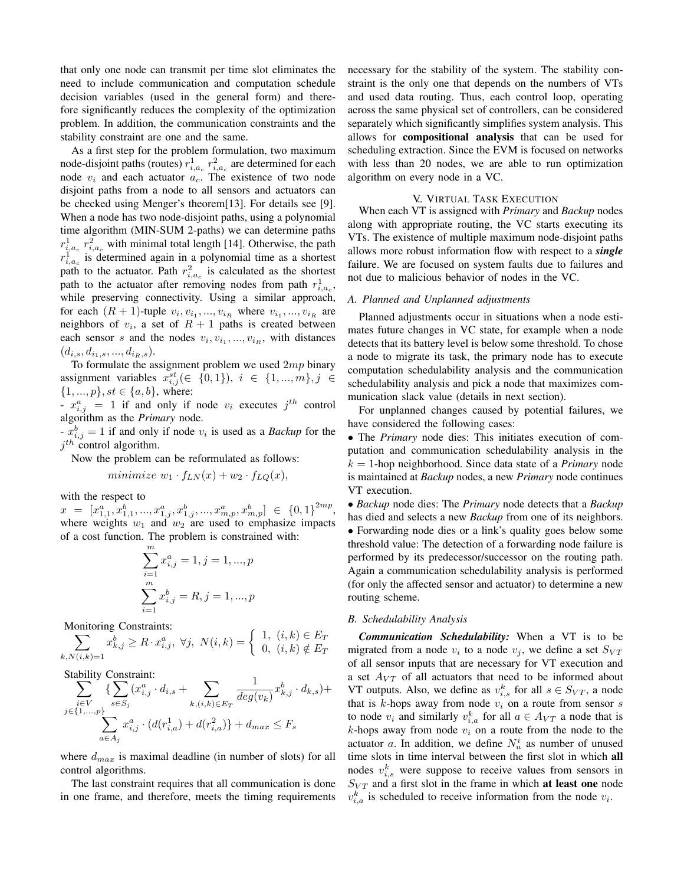that only one node can transmit per time slot eliminates the need to include communication and computation schedule decision variables (used in the general form) and therefore significantly reduces the complexity of the optimization problem. In addition, the communication constraints and the stability constraint are one and the same.

As a first step for the problem formulation, two maximum node-disjoint paths (routes)  $r_{i,a_c}^1$   $r_{i,a_c}^2$  are determined for each node  $v_i$  and each actuator  $a_c$ . The existence of two node disjoint paths from a node to all sensors and actuators can be checked using Menger's theorem[13]. For details see [9]. When a node has two node-disjoint paths, using a polynomial time algorithm (MIN-SUM 2-paths) we can determine paths  $r_{i,a_c}^1$ ,  $r_{i,a_c}^2$  with minimal total length [14]. Otherwise, the path  $r_{i,a_c}^{1}$  is determined again in a polynomial time as a shortest path to the actuator. Path  $r_{i,a_c}^2$  is calculated as the shortest path to the actuator after removing nodes from path  $r^1_{i,a_c}$ , while preserving connectivity. Using a similar approach, for each  $(R + 1)$ -tuple  $v_i, v_{i_1}, ..., v_{i_R}$  where  $v_{i_1}, ..., v_{i_R}$  are neighbors of  $v_i$ , a set of  $R + 1$  paths is created between each sensor s and the nodes  $v_i, v_{i_1}, ..., v_{i_R}$ , with distances  $(d_{i,s}, d_{i_1,s}, ..., d_{i_R,s}).$ 

To formulate the assignment problem we used  $2mp$  binary assignment variables  $x_{i,j}^{st} (\in \{0,1\})$ ,  $i \in \{1, ..., m\}$ ,  $j \in$  $\{1, ..., p\}, st \in \{a, b\},$  where:

 $x_{i,j}^a = 1$  if and only if node  $v_i$  executes  $j^{th}$  control algorithm as the *Primary* node.

 $x_{i,j}^b = 1$  if and only if node  $v_i$  is used as a *Backup* for the  $j^{th}$  control algorithm.

Now the problem can be reformulated as follows:

$$
minimize w_1 \cdot f_{LN}(x) + w_2 \cdot f_{LQ}(x),
$$

with the respect to

 $x = [x_{1,1}^a, x_{1,1}^b, ..., x_{1,j}^a, x_{1,j}^b, ..., x_{m,p}^a, x_{m,p}^b] \in \{0,1\}^{2mp}$ where weights  $w_1$  and  $w_2$  are used to emphasize impacts of a cost function. The problem is constrained with:

$$
\sum_{i=1}^{m} x_{i,j}^{a} = 1, j = 1, ..., p
$$

$$
\sum_{i=1}^{m} x_{i,j}^{b} = R, j = 1, ..., p
$$

Monitoring Constraints:

$$
\sum_{k,N(i,k)=1} x_{k,j}^b \ge R \cdot x_{i,j}^a, \ \forall j, \ N(i,k) = \begin{cases} 1, & (i,k) \in E_T \\ 0, & (i,k) \notin E_T \end{cases}
$$

Stability Constraint:

$$
\sum_{j \in \{1, \ldots, p\}} \{ \sum_{s \in S_j} (x_{i,j}^a \cdot d_{i,s} + \sum_{k,(i,k) \in E_T} \frac{1}{deg(v_k)} x_{k,j}^b \cdot d_{k,s}) + \\ \sum_{a \in A_j} x_{i,j}^a \cdot (d(r_{i,a}^1) + d(r_{i,a}^2)) + d_{max} \le F_s
$$

where  $d_{max}$  is maximal deadline (in number of slots) for all control algorithms.

The last constraint requires that all communication is done in one frame, and therefore, meets the timing requirements

necessary for the stability of the system. The stability constraint is the only one that depends on the numbers of VTs and used data routing. Thus, each control loop, operating across the same physical set of controllers, can be considered separately which significantly simplifies system analysis. This allows for compositional analysis that can be used for scheduling extraction. Since the EVM is focused on networks with less than 20 nodes, we are able to run optimization algorithm on every node in a VC.

#### V.. VIRTUAL TASK EXECUTION

When each VT is assigned with *Primary* and *Backup* nodes along with appropriate routing, the VC starts executing its VTs. The existence of multiple maximum node-disjoint paths allows more robust information flow with respect to a *single* failure. We are focused on system faults due to failures and not due to malicious behavior of nodes in the VC.

#### *A.. Planned and Unplanned adjustments*

Planned adjustments occur in situations when a node estimates future changes in VC state, for example when a node detects that its battery level is below some threshold. To chose a node to migrate its task, the primary node has to execute computation schedulability analysis and the communication schedulability analysis and pick a node that maximizes communication slack value (details in next section).

For unplanned changes caused by potential failures, we have considered the following cases:

• The *Primary* node dies: This initiates execution of computation and communication schedulability analysis in the  $k = 1$ -hop neighborhood. Since data state of a *Primary* node is maintained at *Backup* nodes, a new *Primary* node continues VT execution.

• *Backup* node dies: The *Primary* node detects that a *Backup* has died and selects a new *Backup* from one of its neighbors. • Forwarding node dies or a link's quality goes below some threshold value: The detection of a forwarding node failure is performed by its predecessor/successor on the routing path. Again a communication schedulability analysis is performed (for only the affected sensor and actuator) to determine a new routing scheme.

#### *B.. Schedulability Analysis*

*Communication Schedulability:* When a VT is to be migrated from a node  $v_i$  to a node  $v_j$ , we define a set  $S_{VT}$ of all sensor inputs that are necessary for VT execution and a set  $A_{VT}$  of all actuators that need to be informed about VT outputs. Also, we define as  $v_{i,s}^k$  for all  $s \in S_{VT}$ , a node that is  $k$ -hops away from node  $v_i$  on a route from sensor  $s$ to node  $v_i$  and similarly  $v_{i,a}^k$  for all  $a \in A_{VT}$  a node that is k-hops away from node  $v_i$  on a route from the node to the actuator a. In addition, we define  $N_u^i$  as number of unused time slots in time interval between the first slot in which all nodes  $v_{i,s}^k$  were suppose to receive values from sensors in  $S_{VT}$  and a first slot in the frame in which at least one node  $v_{i,a}^k$  is scheduled to receive information from the node  $v_i$ .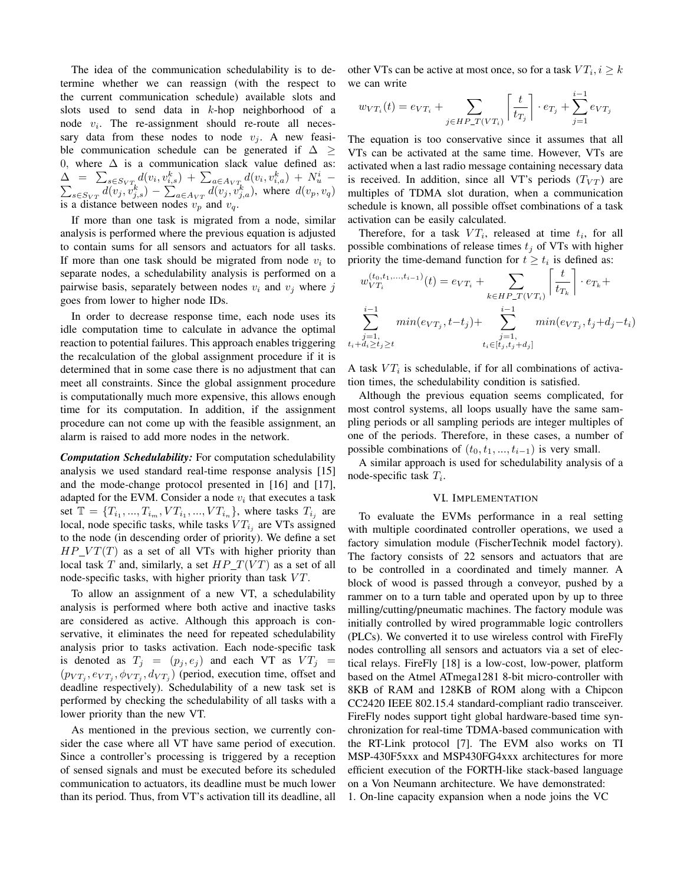The idea of the communication schedulability is to determine whether we can reassign (with the respect to the current communication schedule) available slots and slots used to send data in k-hop neighborhood of a node  $v_i$ . The re-assignment should re-route all necessary data from these nodes to node  $v_i$ . A new feasible communication schedule can be generated if  $\Delta \geq$ 0, where  $\Delta$  is a communication slack value defined as:  $\Delta = \sum_{s \in S_{VT}} d(v_i, v_{i,s}^k) + \sum_{a \in A_{VT}} d(v_i, v_{i,a}^k) + N_u^i - \sum_{s \in S_{VT}} d(v_j, v_{j,s}^k) - \sum_{a \in A_{VT}} d(v_j, v_{j,a}^k)$ , where  $d(v_p, v_q)$ is a distance between nodes  $v_p$  and  $v_q$ .

If more than one task is migrated from a node, similar analysis is performed where the previous equation is adjusted to contain sums for all sensors and actuators for all tasks. If more than one task should be migrated from node  $v_i$  to separate nodes, a schedulability analysis is performed on a pairwise basis, separately between nodes  $v_i$  and  $v_j$  where j goes from lower to higher node IDs.

In order to decrease response time, each node uses its idle computation time to calculate in advance the optimal reaction to potential failures. This approach enables triggering the recalculation of the global assignment procedure if it is determined that in some case there is no adjustment that can meet all constraints. Since the global assignment procedure is computationally much more expensive, this allows enough time for its computation. In addition, if the assignment procedure can not come up with the feasible assignment, an alarm is raised to add more nodes in the network.

*Computation Schedulability:* For computation schedulability analysis we used standard real-time response analysis [15] and the mode-change protocol presented in [16] and [17], adapted for the EVM. Consider a node  $v_i$  that executes a task set  $\mathbb{T} = \{T_{i_1}, ..., T_{i_m}, VT_{i_1}, ..., VT_{i_n}\}$ , where tasks  $T_{i_j}$  are local, node specific tasks, while tasks  $VT_{i_j}$  are VTs assigned to the node (in descending order of priority). We define a set  $HP V T(T)$  as a set of all VTs with higher priority than local task T and, similarly, a set  $HP_T(VT)$  as a set of all node-specific tasks, with higher priority than task  $VT$ .

To allow an assignment of a new VT, a schedulability analysis is performed where both active and inactive tasks are considered as active. Although this approach is conservative, it eliminates the need for repeated schedulability analysis prior to tasks activation. Each node-specific task is denoted as  $T_j = (p_j, e_j)$  and each VT as  $VT_j =$  $(p_{VT_j}, e_{VT_j}, \phi_{VT_j}, d_{VT_j})$  (period, execution time, offset and deadline respectively). Schedulability of a new task set is performed by checking the schedulability of all tasks with a lower priority than the new VT.

As mentioned in the previous section, we currently consider the case where all VT have same period of execution. Since a controller's processing is triggered by a reception of sensed signals and must be executed before its scheduled communication to actuators, its deadline must be much lower than its period. Thus, from VT's activation till its deadline, all

other VTs can be active at most once, so for a task  $VT_i, i \geq k$ we can write

$$
w_{VT_i}(t) = e_{VT_i} + \sum_{j \in HP\_T(VT_i)} \left[ \frac{t}{t_{T_j}} \right] \cdot e_{T_j} + \sum_{j=1}^{i-1} e_{VT_j}
$$

The equation is too conservative since it assumes that all VTs can be activated at the same time. However, VTs are activated when a last radio message containing necessary data is received. In addition, since all VT's periods  $(T_{VT})$  are multiples of TDMA slot duration, when a communication schedule is known, all possible offset combinations of a task activation can be easily calculated.

Therefore, for a task  $VT_i$ , released at time  $t_i$ , for all possible combinations of release times  $t_i$  of VTs with higher priority the time-demand function for  $t \geq t_i$  is defined as:

$$
w_{VT_i}^{(t_0, t_1, \dots, t_{i-1})}(t) = e_{VT_i} + \sum_{k \in HP\_T(VT_i)} \left[ \frac{t}{t_{T_k}} \right] \cdot e_{T_k} + \sum_{\substack{i=1 \ j=1, \ t_i \ge t_j \ge t}} \min(e_{VT_j}, t - t_j) + \sum_{\substack{j=1 \ t_i \in [t_j, t_j + d_j]}} \min(e_{VT_j}, t_j + d_j - t_i)
$$

A task  $VT_i$  is schedulable, if for all combinations of activation times, the schedulability condition is satisfied.

 $t_i$ 

Although the previous equation seems complicated, for most control systems, all loops usually have the same sampling periods or all sampling periods are integer multiples of one of the periods. Therefore, in these cases, a number of possible combinations of  $(t_0, t_1, ..., t_{i-1})$  is very small.

A similar approach is used for schedulability analysis of a node-specific task  $T_i$ .

#### VI.. IMPLEMENTATION

To evaluate the EVMs performance in a real setting with multiple coordinated controller operations, we used a factory simulation module (FischerTechnik model factory). The factory consists of 22 sensors and actuators that are to be controlled in a coordinated and timely manner. A block of wood is passed through a conveyor, pushed by a rammer on to a turn table and operated upon by up to three milling/cutting/pneumatic machines. The factory module was initially controlled by wired programmable logic controllers (PLCs). We converted it to use wireless control with FireFly nodes controlling all sensors and actuators via a set of electical relays. FireFly [18] is a low-cost, low-power, platform based on the Atmel ATmega1281 8-bit micro-controller with 8KB of RAM and 128KB of ROM along with a Chipcon CC2420 IEEE 802.15.4 standard-compliant radio transceiver. FireFly nodes support tight global hardware-based time synchronization for real-time TDMA-based communication with the RT-Link protocol [7]. The EVM also works on TI MSP-430F5xxx and MSP430FG4xxx architectures for more efficient execution of the FORTH-like stack-based language on a Von Neumann architecture. We have demonstrated: 1. On-line capacity expansion when a node joins the VC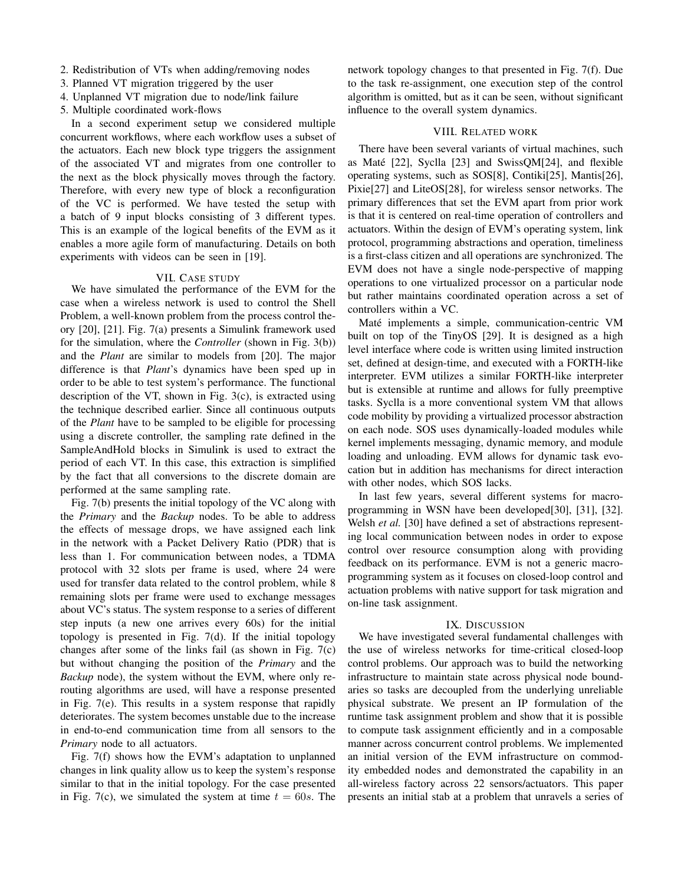- 2. Redistribution of VTs when adding/removing nodes
- 3. Planned VT migration triggered by the user
- 4. Unplanned VT migration due to node/link failure
- 5. Multiple coordinated work-flows

In a second experiment setup we considered multiple concurrent workflows, where each workflow uses a subset of the actuators. Each new block type triggers the assignment of the associated VT and migrates from one controller to the next as the block physically moves through the factory. Therefore, with every new type of block a reconfiguration of the VC is performed. We have tested the setup with a batch of 9 input blocks consisting of 3 different types. This is an example of the logical benefits of the EVM as it enables a more agile form of manufacturing. Details on both experiments with videos can be seen in [19].

#### VII. CASE STUDY

We have simulated the performance of the EVM for the case when a wireless network is used to control the Shell Problem, a well-known problem from the process control theory [20], [21]. Fig. 7(a) presents a Simulink framework used for the simulation, where the *Controller* (shown in Fig. 3(b)) and the *Plant* are similar to models from [20]. The major difference is that *Plant*'s dynamics have been sped up in order to be able to test system's performance. The functional description of the VT, shown in Fig. 3(c), is extracted using the technique described earlier. Since all continuous outputs of the *Plant* have to be sampled to be eligible for processing using a discrete controller, the sampling rate defined in the SampleAndHold blocks in Simulink is used to extract the period of each VT. In this case, this extraction is simplified by the fact that all conversions to the discrete domain are performed at the same sampling rate.

Fig. 7(b) presents the initial topology of the VC along with the *Primary* and the *Backup* nodes. To be able to address the effects of message drops, we have assigned each link in the network with a Packet Delivery Ratio (PDR) that is less than 1. For communication between nodes, a TDMA protocol with 32 slots per frame is used, where 24 were used for transfer data related to the control problem, while 8 remaining slots per frame were used to exchange messages about VC's status. The system response to a series of different step inputs (a new one arrives every 60s) for the initial topology is presented in Fig. 7(d). If the initial topology changes after some of the links fail (as shown in Fig. 7(c) but without changing the position of the *Primary* and the *Backup* node), the system without the EVM, where only rerouting algorithms are used, will have a response presented in Fig. 7(e). This results in a system response that rapidly deteriorates. The system becomes unstable due to the increase in end-to-end communication time from all sensors to the *Primary* node to all actuators.

Fig. 7(f) shows how the EVM's adaptation to unplanned changes in link quality allow us to keep the system's response similar to that in the initial topology. For the case presented in Fig. 7(c), we simulated the system at time  $t = 60s$ . The network topology changes to that presented in Fig. 7(f). Due to the task re-assignment, one execution step of the control algorithm is omitted, but as it can be seen, without significant influence to the overall system dynamics.

#### VIII.. RELATED WORK

There have been several variants of virtual machines, such as Mate [22], Syclla [23] and SwissQM[24], and flexible ´ operating systems, such as SOS[8], Contiki[25], Mantis[26], Pixie[27] and LiteOS[28], for wireless sensor networks. The primary differences that set the EVM apart from prior work is that it is centered on real-time operation of controllers and actuators. Within the design of EVM's operating system, link protocol, programming abstractions and operation, timeliness is a first-class citizen and all operations are synchronized. The EVM does not have a single node-perspective of mapping operations to one virtualized processor on a particular node but rather maintains coordinated operation across a set of controllers within a VC.

Mate implements a simple, communication-centric VM ´ built on top of the TinyOS [29]. It is designed as a high level interface where code is written using limited instruction set, defined at design-time, and executed with a FORTH-like interpreter. EVM utilizes a similar FORTH-like interpreter but is extensible at runtime and allows for fully preemptive tasks. Syclla is a more conventional system VM that allows code mobility by providing a virtualized processor abstraction on each node. SOS uses dynamically-loaded modules while kernel implements messaging, dynamic memory, and module loading and unloading. EVM allows for dynamic task evocation but in addition has mechanisms for direct interaction with other nodes, which SOS lacks.

In last few years, several different systems for macroprogramming in WSN have been developed[30], [31], [32]. Welsh *et al.* [30] have defined a set of abstractions representing local communication between nodes in order to expose control over resource consumption along with providing feedback on its performance. EVM is not a generic macroprogramming system as it focuses on closed-loop control and actuation problems with native support for task migration and on-line task assignment.

#### IX. DISCUSSION

We have investigated several fundamental challenges with the use of wireless networks for time-critical closed-loop control problems. Our approach was to build the networking infrastructure to maintain state across physical node boundaries so tasks are decoupled from the underlying unreliable physical substrate. We present an IP formulation of the runtime task assignment problem and show that it is possible to compute task assignment efficiently and in a composable manner across concurrent control problems. We implemented an initial version of the EVM infrastructure on commodity embedded nodes and demonstrated the capability in an all-wireless factory across 22 sensors/actuators. This paper presents an initial stab at a problem that unravels a series of